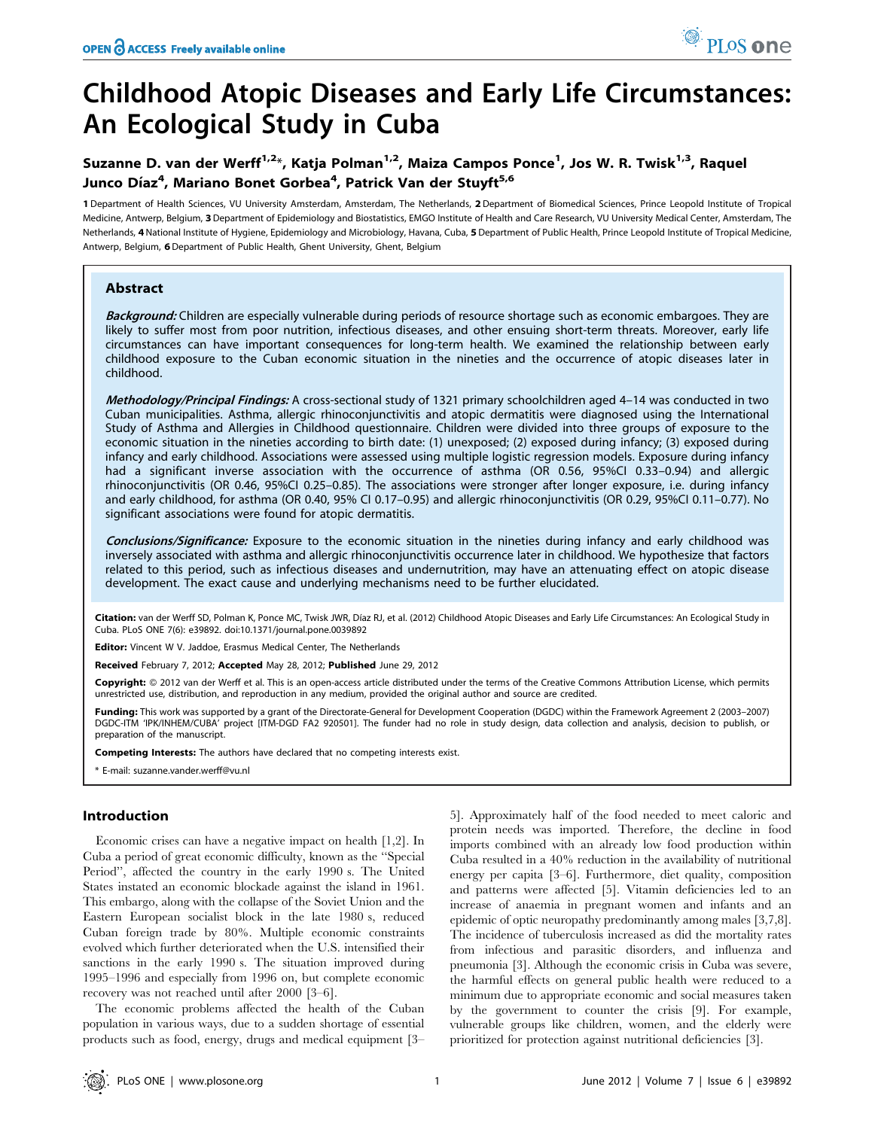# Childhood Atopic Diseases and Early Life Circumstances: An Ecological Study in Cuba

# Suzanne D. van der Werff<sup>1,2</sup>\*, Katja Polman<sup>1,2</sup>, Maiza Campos Ponce<sup>1</sup>, Jos W. R. Twisk<sup>1,3</sup>, Raquel Junco Díaz<sup>4</sup>, Mariano Bonet Gorbea<sup>4</sup>, Patrick Van der Stuyft<sup>5,6</sup>

1 Department of Health Sciences, VU University Amsterdam, Amsterdam, The Netherlands, 2 Department of Biomedical Sciences, Prince Leopold Institute of Tropical Medicine, Antwerp, Belgium, 3 Department of Epidemiology and Biostatistics, EMGO Institute of Health and Care Research, VU University Medical Center, Amsterdam, The Netherlands, 4 National Institute of Hygiene, Epidemiology and Microbiology, Havana, Cuba, 5 Department of Public Health, Prince Leopold Institute of Tropical Medicine, Antwerp, Belgium, 6 Department of Public Health, Ghent University, Ghent, Belgium

# Abstract

Background: Children are especially vulnerable during periods of resource shortage such as economic embargoes. They are likely to suffer most from poor nutrition, infectious diseases, and other ensuing short-term threats. Moreover, early life circumstances can have important consequences for long-term health. We examined the relationship between early childhood exposure to the Cuban economic situation in the nineties and the occurrence of atopic diseases later in childhood.

Methodology/Principal Findings: A cross-sectional study of 1321 primary schoolchildren aged 4-14 was conducted in two Cuban municipalities. Asthma, allergic rhinoconjunctivitis and atopic dermatitis were diagnosed using the International Study of Asthma and Allergies in Childhood questionnaire. Children were divided into three groups of exposure to the economic situation in the nineties according to birth date: (1) unexposed; (2) exposed during infancy; (3) exposed during infancy and early childhood. Associations were assessed using multiple logistic regression models. Exposure during infancy had a significant inverse association with the occurrence of asthma (OR 0.56, 95%CI 0.33–0.94) and allergic rhinoconjunctivitis (OR 0.46, 95%CI 0.25–0.85). The associations were stronger after longer exposure, i.e. during infancy and early childhood, for asthma (OR 0.40, 95% CI 0.17–0.95) and allergic rhinoconjunctivitis (OR 0.29, 95%CI 0.11–0.77). No significant associations were found for atopic dermatitis.

Conclusions/Significance: Exposure to the economic situation in the nineties during infancy and early childhood was inversely associated with asthma and allergic rhinoconjunctivitis occurrence later in childhood. We hypothesize that factors related to this period, such as infectious diseases and undernutrition, may have an attenuating effect on atopic disease development. The exact cause and underlying mechanisms need to be further elucidated.

Citation: van der Werff SD, Polman K, Ponce MC, Twisk JWR, Díaz RJ, et al. (2012) Childhood Atopic Diseases and Early Life Circumstances: An Ecological Study in Cuba. PLoS ONE 7(6): e39892. doi:10.1371/journal.pone.0039892

Editor: Vincent W V. Jaddoe, Erasmus Medical Center, The Netherlands

Received February 7, 2012; Accepted May 28, 2012; Published June 29, 2012

Copyright: © 2012 van der Werff et al. This is an open-access article distributed under the terms of the Creative Commons Attribution License, which permits unrestricted use, distribution, and reproduction in any medium, provided the original author and source are credited.

Funding: This work was supported by a grant of the Directorate-General for Development Cooperation (DGDC) within the Framework Agreement 2 (2003–2007) DGDC-ITM 'IPK/INHEM/CUBA' project [ITM-DGD FA2 920501]. The funder had no role in study design, data collection and analysis, decision to publish, or preparation of the manuscript.

Competing Interests: The authors have declared that no competing interests exist.

\* E-mail: suzanne.vander.werff@vu.nl

# Introduction

Economic crises can have a negative impact on health [1,2]. In Cuba a period of great economic difficulty, known as the ''Special Period'', affected the country in the early 1990 s. The United States instated an economic blockade against the island in 1961. This embargo, along with the collapse of the Soviet Union and the Eastern European socialist block in the late 1980 s, reduced Cuban foreign trade by 80%. Multiple economic constraints evolved which further deteriorated when the U.S. intensified their sanctions in the early 1990 s. The situation improved during 1995–1996 and especially from 1996 on, but complete economic recovery was not reached until after 2000 [3–6].

The economic problems affected the health of the Cuban population in various ways, due to a sudden shortage of essential products such as food, energy, drugs and medical equipment [3–

5]. Approximately half of the food needed to meet caloric and protein needs was imported. Therefore, the decline in food imports combined with an already low food production within Cuba resulted in a 40% reduction in the availability of nutritional energy per capita [3–6]. Furthermore, diet quality, composition and patterns were affected [5]. Vitamin deficiencies led to an increase of anaemia in pregnant women and infants and an epidemic of optic neuropathy predominantly among males [3,7,8]. The incidence of tuberculosis increased as did the mortality rates from infectious and parasitic disorders, and influenza and pneumonia [3]. Although the economic crisis in Cuba was severe, the harmful effects on general public health were reduced to a minimum due to appropriate economic and social measures taken by the government to counter the crisis [9]. For example, vulnerable groups like children, women, and the elderly were prioritized for protection against nutritional deficiencies [3].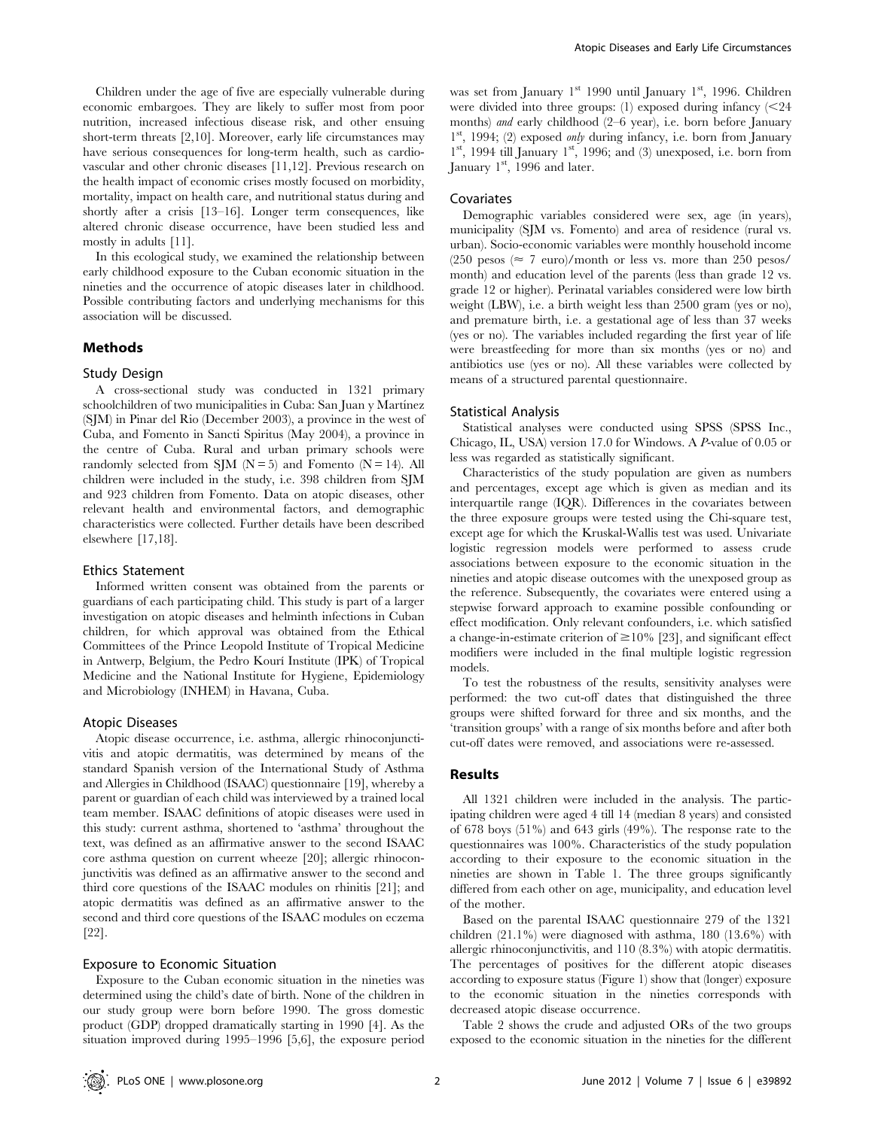Children under the age of five are especially vulnerable during economic embargoes. They are likely to suffer most from poor nutrition, increased infectious disease risk, and other ensuing short-term threats [2,10]. Moreover, early life circumstances may have serious consequences for long-term health, such as cardiovascular and other chronic diseases [11,12]. Previous research on the health impact of economic crises mostly focused on morbidity, mortality, impact on health care, and nutritional status during and shortly after a crisis [13–16]. Longer term consequences, like altered chronic disease occurrence, have been studied less and mostly in adults [11].

In this ecological study, we examined the relationship between early childhood exposure to the Cuban economic situation in the nineties and the occurrence of atopic diseases later in childhood. Possible contributing factors and underlying mechanisms for this association will be discussed.

## Methods

#### Study Design

A cross-sectional study was conducted in 1321 primary schoolchildren of two municipalities in Cuba: San Juan y Martínez (SJM) in Pinar del Rio (December 2003), a province in the west of Cuba, and Fomento in Sancti Spiritus (May 2004), a province in the centre of Cuba. Rural and urban primary schools were randomly selected from SJM ( $N = 5$ ) and Fomento ( $N = 14$ ). All children were included in the study, i.e. 398 children from SJM and 923 children from Fomento. Data on atopic diseases, other relevant health and environmental factors, and demographic characteristics were collected. Further details have been described elsewhere [17,18].

#### Ethics Statement

Informed written consent was obtained from the parents or guardians of each participating child. This study is part of a larger investigation on atopic diseases and helminth infections in Cuban children, for which approval was obtained from the Ethical Committees of the Prince Leopold Institute of Tropical Medicine in Antwerp, Belgium, the Pedro Kourí Institute (IPK) of Tropical Medicine and the National Institute for Hygiene, Epidemiology and Microbiology (INHEM) in Havana, Cuba.

#### Atopic Diseases

Atopic disease occurrence, i.e. asthma, allergic rhinoconjunctivitis and atopic dermatitis, was determined by means of the standard Spanish version of the International Study of Asthma and Allergies in Childhood (ISAAC) questionnaire [19], whereby a parent or guardian of each child was interviewed by a trained local team member. ISAAC definitions of atopic diseases were used in this study: current asthma, shortened to 'asthma' throughout the text, was defined as an affirmative answer to the second ISAAC core asthma question on current wheeze [20]; allergic rhinoconjunctivitis was defined as an affirmative answer to the second and third core questions of the ISAAC modules on rhinitis [21]; and atopic dermatitis was defined as an affirmative answer to the second and third core questions of the ISAAC modules on eczema [22].

# Exposure to Economic Situation

Exposure to the Cuban economic situation in the nineties was determined using the child's date of birth. None of the children in our study group were born before 1990. The gross domestic product (GDP) dropped dramatically starting in 1990 [4]. As the situation improved during 1995–1996 [5,6], the exposure period was set from January 1<sup>st</sup> 1990 until January 1<sup>st</sup>, 1996. Children were divided into three groups:  $(1)$  exposed during infancy  $(<24$ months) and early childhood (2–6 year), i.e. born before January  $1<sup>st</sup>$ , 1994; (2) exposed *only* during infancy, i.e. born from January  $1<sup>st</sup>$ , 1994 till January  $1<sup>st</sup>$ , 1996; and (3) unexposed, i.e. born from January  $1<sup>st</sup>$ , 1996 and later.

#### Covariates

Demographic variables considered were sex, age (in years), municipality (SJM vs. Fomento) and area of residence (rural vs. urban). Socio-economic variables were monthly household income (250 pesos ( $\approx$  7 euro)/month or less vs. more than 250 pesos/ month) and education level of the parents (less than grade 12 vs. grade 12 or higher). Perinatal variables considered were low birth weight (LBW), i.e. a birth weight less than 2500 gram (yes or no), and premature birth, i.e. a gestational age of less than 37 weeks (yes or no). The variables included regarding the first year of life were breastfeeding for more than six months (yes or no) and antibiotics use (yes or no). All these variables were collected by means of a structured parental questionnaire.

#### Statistical Analysis

Statistical analyses were conducted using SPSS (SPSS Inc., Chicago, IL, USA) version 17.0 for Windows. A P-value of 0.05 or less was regarded as statistically significant.

Characteristics of the study population are given as numbers and percentages, except age which is given as median and its interquartile range (IQR). Differences in the covariates between the three exposure groups were tested using the Chi-square test, except age for which the Kruskal-Wallis test was used. Univariate logistic regression models were performed to assess crude associations between exposure to the economic situation in the nineties and atopic disease outcomes with the unexposed group as the reference. Subsequently, the covariates were entered using a stepwise forward approach to examine possible confounding or effect modification. Only relevant confounders, i.e. which satisfied a change-in-estimate criterion of  $\geq$ 10% [23], and significant effect modifiers were included in the final multiple logistic regression models.

To test the robustness of the results, sensitivity analyses were performed: the two cut-off dates that distinguished the three groups were shifted forward for three and six months, and the 'transition groups' with a range of six months before and after both cut-off dates were removed, and associations were re-assessed.

#### Results

All 1321 children were included in the analysis. The participating children were aged 4 till 14 (median 8 years) and consisted of 678 boys (51%) and 643 girls (49%). The response rate to the questionnaires was 100%. Characteristics of the study population according to their exposure to the economic situation in the nineties are shown in Table 1. The three groups significantly differed from each other on age, municipality, and education level of the mother.

Based on the parental ISAAC questionnaire 279 of the 1321 children (21.1%) were diagnosed with asthma, 180 (13.6%) with allergic rhinoconjunctivitis, and 110 (8.3%) with atopic dermatitis. The percentages of positives for the different atopic diseases according to exposure status (Figure 1) show that (longer) exposure to the economic situation in the nineties corresponds with decreased atopic disease occurrence.

Table 2 shows the crude and adjusted ORs of the two groups exposed to the economic situation in the nineties for the different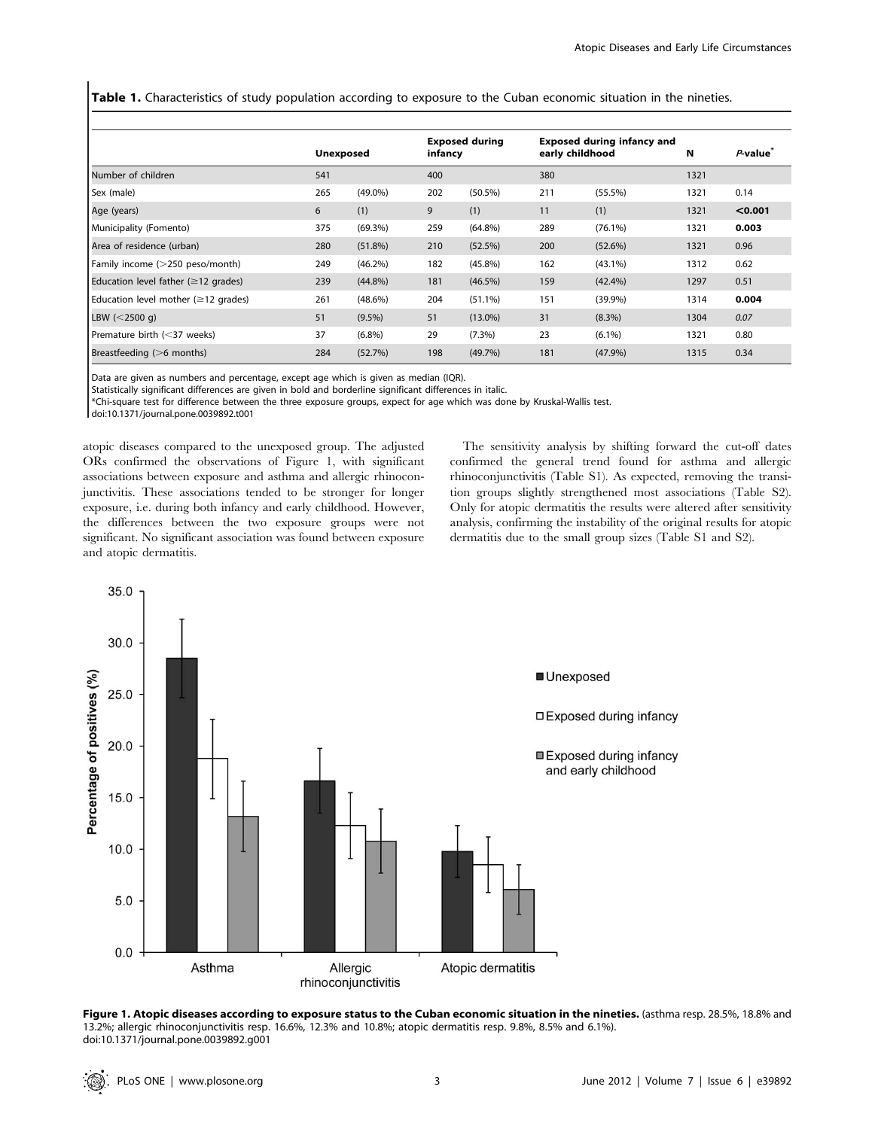Table 1. Characteristics of study population according to exposure to the Cuban economic situation in the nineties.

|                                           | <b>Unexposed</b> |            | <b>Exposed during</b><br>infancy |            | <b>Exposed during infancy and</b><br>early childhood |            | N    | P-value <sup>®</sup> |
|-------------------------------------------|------------------|------------|----------------------------------|------------|------------------------------------------------------|------------|------|----------------------|
| Number of children                        | 541              |            | 400                              |            | 380                                                  |            | 1321 |                      |
| Sex (male)                                | 265              | $(49.0\%)$ | 202                              | $(50.5\%)$ | 211                                                  | $(55.5\%)$ | 1321 | 0.14                 |
| Age (years)                               | 6                | (1)        | 9                                | (1)        | 11                                                   | (1)        | 1321 | < 0.001              |
| Municipality (Fomento)                    | 375              | $(69.3\%)$ | 259                              | $(64.8\%)$ | 289                                                  | $(76.1\%)$ | 1321 | 0.003                |
| Area of residence (urban)                 | 280              | $(51.8\%)$ | 210                              | (52.5%)    | 200                                                  | $(52.6\%)$ | 1321 | 0.96                 |
| Family income (>250 peso/month)           | 249              | $(46.2\%)$ | 182                              | $(45.8\%)$ | 162                                                  | $(43.1\%)$ | 1312 | 0.62                 |
| Education level father $(\geq 12$ grades) | 239              | $(44.8\%)$ | 181                              | $(46.5\%)$ | 159                                                  | $(42.4\%)$ | 1297 | 0.51                 |
| Education level mother (≥12 grades)       | 261              | $(48.6\%)$ | 204                              | $(51.1\%)$ | 151                                                  | $(39.9\%)$ | 1314 | 0.004                |
| LBW ( $<$ 2500 g)                         | 51               | $(9.5\%)$  | 51                               | $(13.0\%)$ | 31                                                   | $(8.3\%)$  | 1304 | 0.07                 |
| Premature birth (<37 weeks)               | 37               | $(6.8\%)$  | 29                               | $(7.3\%)$  | 23                                                   | $(6.1\%)$  | 1321 | 0.80                 |
| Breastfeeding $(>6$ months)               | 284              | (52.7%)    | 198                              | $(49.7\%)$ | 181                                                  | (47.9%)    | 1315 | 0.34                 |

Data are given as numbers and percentage, except age which is given as median (IQR).

Statistically significant differences are given in bold and borderline significant differences in italic.

\*Chi-square test for difference between the three exposure groups, expect for age which was done by Kruskal-Wallis test.

doi:10.1371/journal.pone.0039892.t001

atopic diseases compared to the unexposed group. The adjusted ORs confirmed the observations of Figure 1, with significant associations between exposure and asthma and allergic rhinoconjunctivitis. These associations tended to be stronger for longer exposure, i.e. during both infancy and early childhood. However, the differences between the two exposure groups were not significant. No significant association was found between exposure and atopic dermatitis.

The sensitivity analysis by shifting forward the cut-off dates confirmed the general trend found for asthma and allergic rhinoconjunctivitis (Table S1). As expected, removing the transition groups slightly strengthened most associations (Table S2). Only for atopic dermatitis the results were altered after sensitivity analysis, confirming the instability of the original results for atopic dermatitis due to the small group sizes (Table S1 and S2).



Figure 1. Atopic diseases according to exposure status to the Cuban economic situation in the nineties. (asthma resp. 28.5%, 18.8% and 13.2%; allergic rhinoconjunctivitis resp. 16.6%, 12.3% and 10.8%; atopic dermatitis resp. 9.8%, 8.5% and 6.1%). doi:10.1371/journal.pone.0039892.g001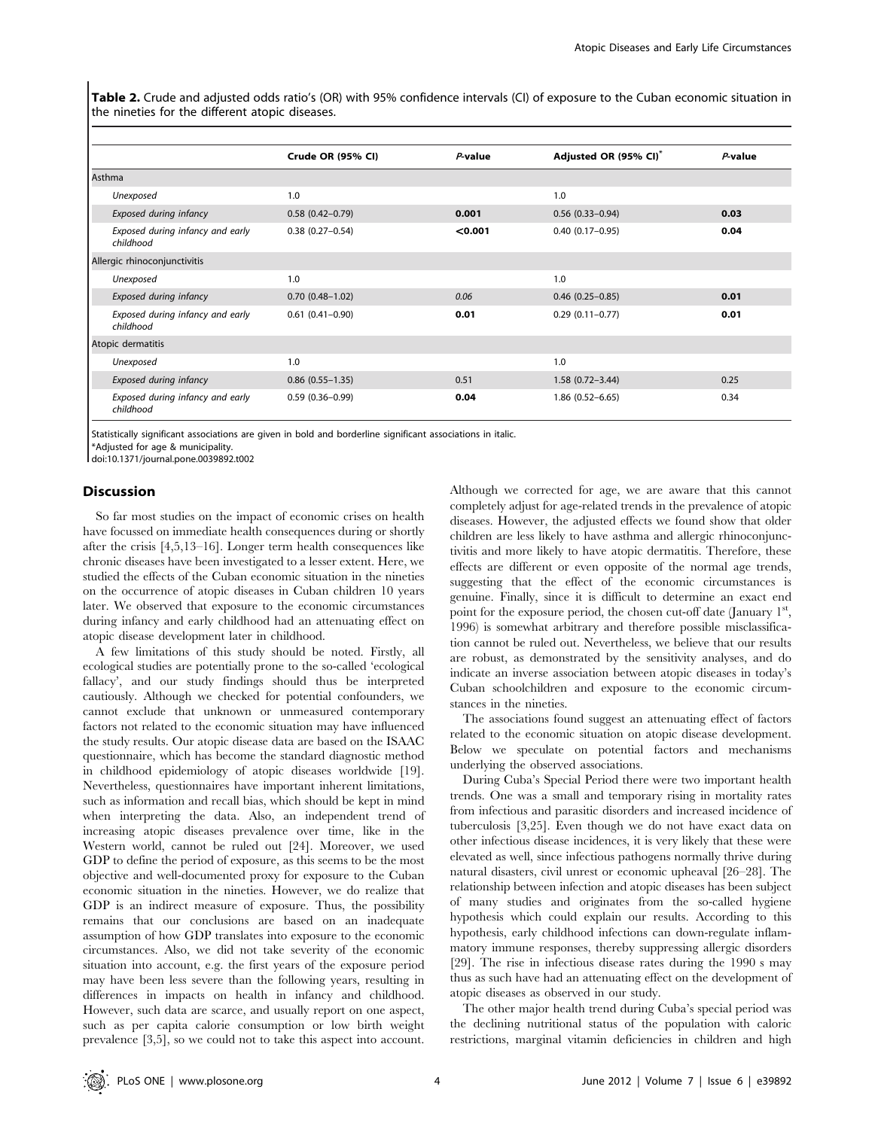Table 2. Crude and adjusted odds ratio's (OR) with 95% confidence intervals (CI) of exposure to the Cuban economic situation in the nineties for the different atopic diseases.

|                                               | Crude OR (95% CI)   | P-value | Adjusted OR (95% CI) <sup>*</sup> | P-value |
|-----------------------------------------------|---------------------|---------|-----------------------------------|---------|
| Asthma                                        |                     |         |                                   |         |
| Unexposed                                     | 1.0                 |         | 1.0                               |         |
| Exposed during infancy                        | $0.58(0.42 - 0.79)$ | 0.001   | $0.56$ $(0.33 - 0.94)$            | 0.03    |
| Exposed during infancy and early<br>childhood | $0.38(0.27 - 0.54)$ | < 0.001 | $0.40(0.17-0.95)$                 | 0.04    |
| Allergic rhinoconjunctivitis                  |                     |         |                                   |         |
| Unexposed                                     | 1.0                 |         | 1.0                               |         |
| Exposed during infancy                        | $0.70(0.48-1.02)$   | 0.06    | $0.46$ (0.25-0.85)                | 0.01    |
| Exposed during infancy and early<br>childhood | $0.61(0.41 - 0.90)$ | 0.01    | $0.29(0.11 - 0.77)$               | 0.01    |
| Atopic dermatitis                             |                     |         |                                   |         |
| Unexposed                                     | 1.0                 |         | 1.0                               |         |
| Exposed during infancy                        | $0.86$ (0.55-1.35)  | 0.51    | $1.58(0.72 - 3.44)$               | 0.25    |
| Exposed during infancy and early<br>childhood | $0.59(0.36 - 0.99)$ | 0.04    | $1.86(0.52 - 6.65)$               | 0.34    |

Statistically significant associations are given in bold and borderline significant associations in italic.

\*Adjusted for age & municipality.

doi:10.1371/journal.pone.0039892.t002

# Discussion

So far most studies on the impact of economic crises on health have focussed on immediate health consequences during or shortly after the crisis [4,5,13–16]. Longer term health consequences like chronic diseases have been investigated to a lesser extent. Here, we studied the effects of the Cuban economic situation in the nineties on the occurrence of atopic diseases in Cuban children 10 years later. We observed that exposure to the economic circumstances during infancy and early childhood had an attenuating effect on atopic disease development later in childhood.

A few limitations of this study should be noted. Firstly, all ecological studies are potentially prone to the so-called 'ecological fallacy', and our study findings should thus be interpreted cautiously. Although we checked for potential confounders, we cannot exclude that unknown or unmeasured contemporary factors not related to the economic situation may have influenced the study results. Our atopic disease data are based on the ISAAC questionnaire, which has become the standard diagnostic method in childhood epidemiology of atopic diseases worldwide [19]. Nevertheless, questionnaires have important inherent limitations, such as information and recall bias, which should be kept in mind when interpreting the data. Also, an independent trend of increasing atopic diseases prevalence over time, like in the Western world, cannot be ruled out [24]. Moreover, we used GDP to define the period of exposure, as this seems to be the most objective and well-documented proxy for exposure to the Cuban economic situation in the nineties. However, we do realize that GDP is an indirect measure of exposure. Thus, the possibility remains that our conclusions are based on an inadequate assumption of how GDP translates into exposure to the economic circumstances. Also, we did not take severity of the economic situation into account, e.g. the first years of the exposure period may have been less severe than the following years, resulting in differences in impacts on health in infancy and childhood. However, such data are scarce, and usually report on one aspect, such as per capita calorie consumption or low birth weight prevalence [3,5], so we could not to take this aspect into account.

Although we corrected for age, we are aware that this cannot completely adjust for age-related trends in the prevalence of atopic diseases. However, the adjusted effects we found show that older children are less likely to have asthma and allergic rhinoconjunctivitis and more likely to have atopic dermatitis. Therefore, these effects are different or even opposite of the normal age trends, suggesting that the effect of the economic circumstances is genuine. Finally, since it is difficult to determine an exact end point for the exposure period, the chosen cut-off date (January 1st, 1996) is somewhat arbitrary and therefore possible misclassification cannot be ruled out. Nevertheless, we believe that our results are robust, as demonstrated by the sensitivity analyses, and do indicate an inverse association between atopic diseases in today's Cuban schoolchildren and exposure to the economic circumstances in the nineties.

The associations found suggest an attenuating effect of factors related to the economic situation on atopic disease development. Below we speculate on potential factors and mechanisms underlying the observed associations.

During Cuba's Special Period there were two important health trends. One was a small and temporary rising in mortality rates from infectious and parasitic disorders and increased incidence of tuberculosis [3,25]. Even though we do not have exact data on other infectious disease incidences, it is very likely that these were elevated as well, since infectious pathogens normally thrive during natural disasters, civil unrest or economic upheaval [26–28]. The relationship between infection and atopic diseases has been subject of many studies and originates from the so-called hygiene hypothesis which could explain our results. According to this hypothesis, early childhood infections can down-regulate inflammatory immune responses, thereby suppressing allergic disorders [29]. The rise in infectious disease rates during the 1990 s may thus as such have had an attenuating effect on the development of atopic diseases as observed in our study.

The other major health trend during Cuba's special period was the declining nutritional status of the population with caloric restrictions, marginal vitamin deficiencies in children and high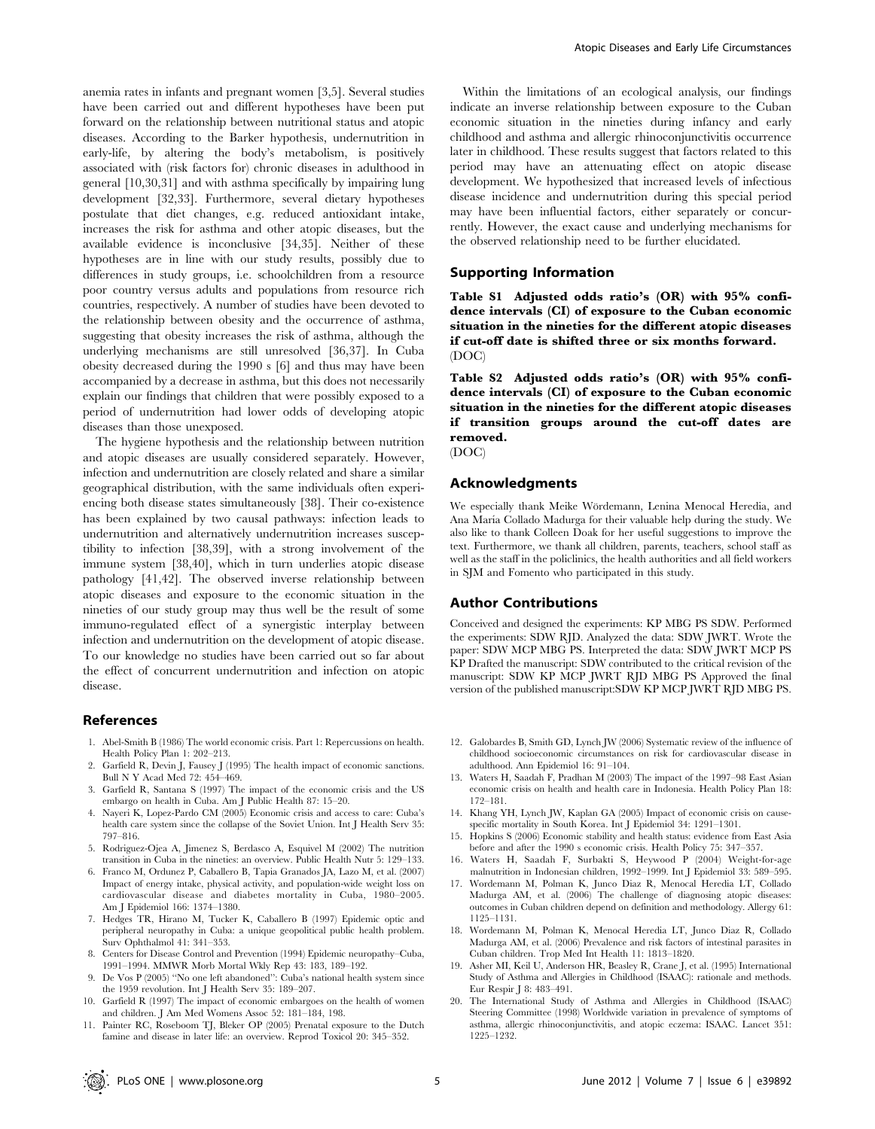anemia rates in infants and pregnant women [3,5]. Several studies have been carried out and different hypotheses have been put forward on the relationship between nutritional status and atopic diseases. According to the Barker hypothesis, undernutrition in early-life, by altering the body's metabolism, is positively associated with (risk factors for) chronic diseases in adulthood in general [10,30,31] and with asthma specifically by impairing lung development [32,33]. Furthermore, several dietary hypotheses postulate that diet changes, e.g. reduced antioxidant intake, increases the risk for asthma and other atopic diseases, but the available evidence is inconclusive [34,35]. Neither of these hypotheses are in line with our study results, possibly due to differences in study groups, i.e. schoolchildren from a resource poor country versus adults and populations from resource rich countries, respectively. A number of studies have been devoted to the relationship between obesity and the occurrence of asthma, suggesting that obesity increases the risk of asthma, although the underlying mechanisms are still unresolved [36,37]. In Cuba obesity decreased during the 1990 s [6] and thus may have been accompanied by a decrease in asthma, but this does not necessarily explain our findings that children that were possibly exposed to a period of undernutrition had lower odds of developing atopic diseases than those unexposed.

The hygiene hypothesis and the relationship between nutrition and atopic diseases are usually considered separately. However, infection and undernutrition are closely related and share a similar geographical distribution, with the same individuals often experiencing both disease states simultaneously [38]. Their co-existence has been explained by two causal pathways: infection leads to undernutrition and alternatively undernutrition increases susceptibility to infection [38,39], with a strong involvement of the immune system [38,40], which in turn underlies atopic disease pathology [41,42]. The observed inverse relationship between atopic diseases and exposure to the economic situation in the nineties of our study group may thus well be the result of some immuno-regulated effect of a synergistic interplay between infection and undernutrition on the development of atopic disease. To our knowledge no studies have been carried out so far about the effect of concurrent undernutrition and infection on atopic disease.

#### References

- 1. Abel-Smith B (1986) The world economic crisis. Part 1: Repercussions on health. Health Policy Plan 1: 202–213.
- 2. Garfield R, Devin J, Fausey J (1995) The health impact of economic sanctions. Bull N Y Acad Med 72: 454–469.
- 3. Garfield R, Santana S (1997) The impact of the economic crisis and the US embargo on health in Cuba. Am J Public Health 87: 15–20.
- 4. Nayeri K, Lopez-Pardo CM (2005) Economic crisis and access to care: Cuba's health care system since the collapse of the Soviet Union. Int J Health Serv 35: 797–816.
- 5. Rodriguez-Ojea A, Jimenez S, Berdasco A, Esquivel M (2002) The nutrition transition in Cuba in the nineties: an overview. Public Health Nutr 5: 129–133.
- 6. Franco M, Ordunez P, Caballero B, Tapia Granados JA, Lazo M, et al. (2007) Impact of energy intake, physical activity, and population-wide weight loss on cardiovascular disease and diabetes mortality in Cuba, 1980–2005. Am J Epidemiol 166: 1374–1380.
- 7. Hedges TR, Hirano M, Tucker K, Caballero B (1997) Epidemic optic and peripheral neuropathy in Cuba: a unique geopolitical public health problem. Surv Ophthalmol 41: 341–353.
- 8. Centers for Disease Control and Prevention (1994) Epidemic neuropathy–Cuba, 1991–1994. MMWR Morb Mortal Wkly Rep 43: 183, 189–192.
- 9. De Vos P (2005) ''No one left abandoned'': Cuba's national health system since the 1959 revolution. Int J Health Serv 35: 189–207.
- 10. Garfield R (1997) The impact of economic embargoes on the health of women and children. J Am Med Womens Assoc 52: 181–184, 198.
- 11. Painter RC, Roseboom TJ, Bleker OP (2005) Prenatal exposure to the Dutch famine and disease in later life: an overview. Reprod Toxicol 20: 345–352.

Within the limitations of an ecological analysis, our findings indicate an inverse relationship between exposure to the Cuban economic situation in the nineties during infancy and early childhood and asthma and allergic rhinoconjunctivitis occurrence later in childhood. These results suggest that factors related to this period may have an attenuating effect on atopic disease development. We hypothesized that increased levels of infectious disease incidence and undernutrition during this special period may have been influential factors, either separately or concurrently. However, the exact cause and underlying mechanisms for the observed relationship need to be further elucidated.

# Supporting Information

Table S1 Adjusted odds ratio's (OR) with 95% confidence intervals (CI) of exposure to the Cuban economic situation in the nineties for the different atopic diseases if cut-off date is shifted three or six months forward. (DOC)

Table S2 Adjusted odds ratio's (OR) with 95% confidence intervals (CI) of exposure to the Cuban economic situation in the nineties for the different atopic diseases if transition groups around the cut-off dates are removed.

(DOC)

## Acknowledgments

We especially thank Meike Wördemann, Lenina Menocal Heredia, and Ana Marı´a Collado Madurga for their valuable help during the study. We also like to thank Colleen Doak for her useful suggestions to improve the text. Furthermore, we thank all children, parents, teachers, school staff as well as the staff in the policlinics, the health authorities and all field workers in SJM and Fomento who participated in this study.

#### Author Contributions

Conceived and designed the experiments: KP MBG PS SDW. Performed the experiments: SDW RJD. Analyzed the data: SDW JWRT. Wrote the paper: SDW MCP MBG PS. Interpreted the data: SDW JWRT MCP PS KP Drafted the manuscript: SDW contributed to the critical revision of the manuscript: SDW KP MCP JWRT RJD MBG PS Approved the final version of the published manuscript:SDW KP MCP JWRT RJD MBG PS.

- 12. Galobardes B, Smith GD, Lynch JW (2006) Systematic review of the influence of childhood socioeconomic circumstances on risk for cardiovascular disease in adulthood. Ann Epidemiol 16: 91–104.
- 13. Waters H, Saadah F, Pradhan M (2003) The impact of the 1997–98 East Asian economic crisis on health and health care in Indonesia. Health Policy Plan 18: 172–181.
- 14. Khang YH, Lynch JW, Kaplan GA (2005) Impact of economic crisis on causespecific mortality in South Korea. Int J Epidemiol 34: 1291–1301.
- 15. Hopkins S (2006) Economic stability and health status: evidence from East Asia before and after the 1990 s economic crisis. Health Policy 75: 347–357.
- 16. Waters H, Saadah F, Surbakti S, Heywood P (2004) Weight-for-age malnutrition in Indonesian children, 1992–1999. Int J Epidemiol 33: 589–595.
- 17. Wordemann M, Polman K, Junco Diaz R, Menocal Heredia LT, Collado Madurga AM, et al. (2006) The challenge of diagnosing atopic diseases: outcomes in Cuban children depend on definition and methodology. Allergy 61: 1125–1131.
- 18. Wordemann M, Polman K, Menocal Heredia LT, Junco Diaz R, Collado Madurga AM, et al. (2006) Prevalence and risk factors of intestinal parasites in Cuban children. Trop Med Int Health 11: 1813–1820.
- 19. Asher MI, Keil U, Anderson HR, Beasley R, Crane J, et al. (1995) International Study of Asthma and Allergies in Childhood (ISAAC): rationale and methods. Eur Respir J 8: 483–491.
- The International Study of Asthma and Allergies in Childhood (ISAAC) Steering Committee (1998) Worldwide variation in prevalence of symptoms of asthma, allergic rhinoconjunctivitis, and atopic eczema: ISAAC. Lancet 351: 1225–1232.